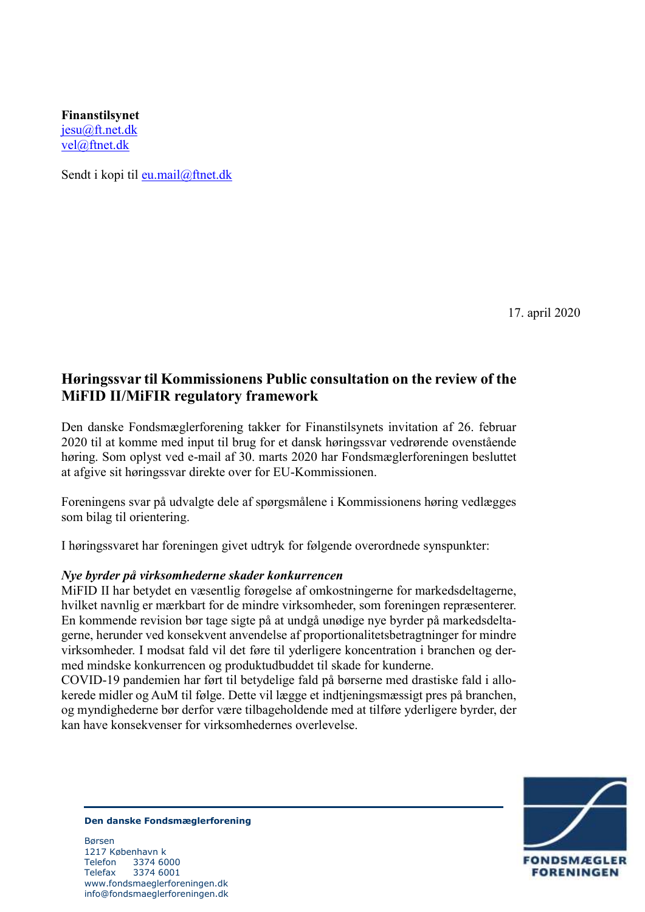**Finanstilsynet** [jesu@ft.net.dk](mailto:jesu@ft.net.dk) [vel@ftnet.dk](mailto:vel@ftnet.dk) 

Sendt i kopi til [eu.mail@ftnet.dk](mailto:eu.mail@ftnet.dk)

17. april 2020

# **Høringssvar til Kommissionens Public consultation on the review of the MiFID II/MiFIR regulatory framework**

Den danske Fondsmæglerforening takker for Finanstilsynets invitation af 26. februar 2020 til at komme med input til brug for et dansk høringssvar vedrørende ovenstående høring. Som oplyst ved e-mail af 30. marts 2020 har Fondsmæglerforeningen besluttet at afgive sit høringssvar direkte over for EU-Kommissionen.

Foreningens svar på udvalgte dele af spørgsmålene i Kommissionens høring vedlægges som bilag til orientering.

I høringssvaret har foreningen givet udtryk for følgende overordnede synspunkter:

### *Nye byrder på virksomhederne skader konkurrencen*

MiFID II har betydet en væsentlig forøgelse af omkostningerne for markedsdeltagerne, hvilket navnlig er mærkbart for de mindre virksomheder, som foreningen repræsenterer. En kommende revision bør tage sigte på at undgå unødige nye byrder på markedsdeltagerne, herunder ved konsekvent anvendelse af proportionalitetsbetragtninger for mindre virksomheder. I modsat fald vil det føre til yderligere koncentration i branchen og dermed mindske konkurrencen og produktudbuddet til skade for kunderne.

COVID-19 pandemien har ført til betydelige fald på børserne med drastiske fald i allokerede midler og AuM til følge. Dette vil lægge et indtjeningsmæssigt pres på branchen, og myndighederne bør derfor være tilbageholdende med at tilføre yderligere byrder, der kan have konsekvenser for virksomhedernes overlevelse.



#### **Den danske Fondsmæglerforening**

Børsen 1217 København k Telefon 3374 6000 Telefax 3374 6001 www.fondsmaeglerforeningen.dk info@fondsmaeglerforeningen.dk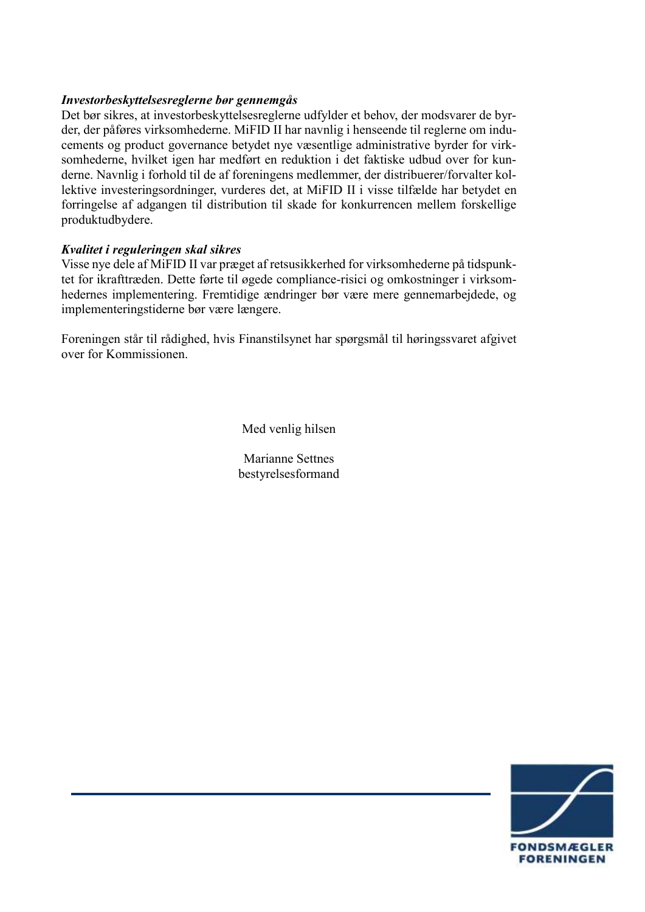## *Investorbeskyttelsesreglerne bør gennemgås*

Det bør sikres, at investorbeskyttelsesreglerne udfylder et behov, der modsvarer de byrder, der påføres virksomhederne. MiFID II har navnlig i henseende til reglerne om inducements og product governance betydet nye væsentlige administrative byrder for virksomhederne, hvilket igen har medført en reduktion i det faktiske udbud over for kunderne. Navnlig i forhold til de af foreningens medlemmer, der distribuerer/forvalter kollektive investeringsordninger, vurderes det, at MiFID II i visse tilfælde har betydet en forringelse af adgangen til distribution til skade for konkurrencen mellem forskellige produktudbydere.

## *Kvalitet i reguleringen skal sikres*

Visse nye dele af MiFID II var præget af retsusikkerhed for virksomhederne på tidspunktet for ikrafttræden. Dette førte til øgede compliance-risici og omkostninger i virksomhedernes implementering. Fremtidige ændringer bør være mere gennemarbejdede, og implementeringstiderne bør være længere.

Foreningen står til rådighed, hvis Finanstilsynet har spørgsmål til høringssvaret afgivet over for Kommissionen.

Med venlig hilsen

Marianne Settnes bestyrelsesformand

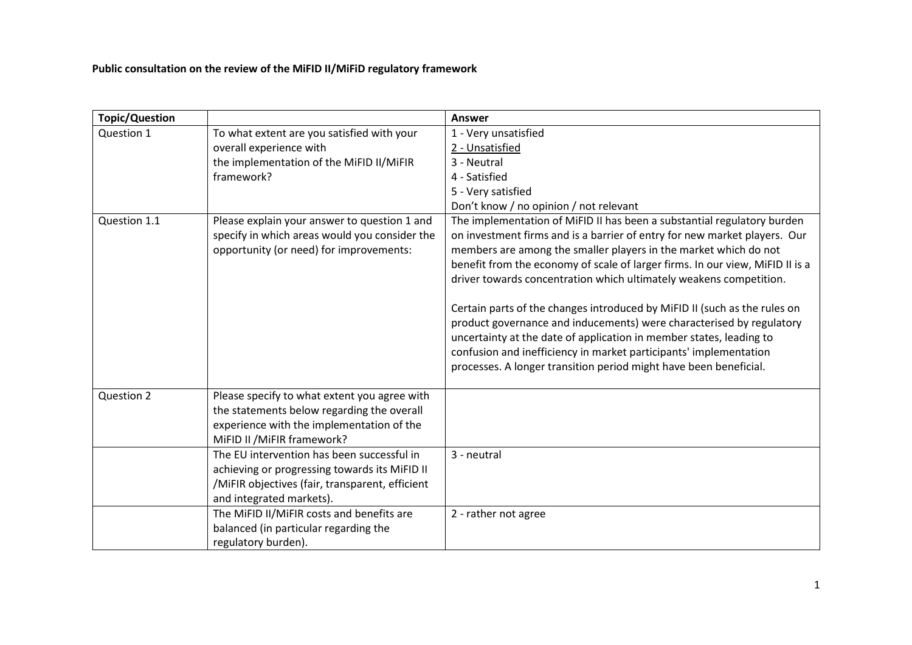**Public consultation on the review of the MiFID II/MiFiD regulatory framework**

| <b>Topic/Question</b> |                                                                                                                                                                            | Answer                                                                                                                                                                                                                                                                                                                                                                                                                                                                                                                                                                                                                                                                                                                                                |
|-----------------------|----------------------------------------------------------------------------------------------------------------------------------------------------------------------------|-------------------------------------------------------------------------------------------------------------------------------------------------------------------------------------------------------------------------------------------------------------------------------------------------------------------------------------------------------------------------------------------------------------------------------------------------------------------------------------------------------------------------------------------------------------------------------------------------------------------------------------------------------------------------------------------------------------------------------------------------------|
| Question 1            | To what extent are you satisfied with your                                                                                                                                 | 1 - Very unsatisfied                                                                                                                                                                                                                                                                                                                                                                                                                                                                                                                                                                                                                                                                                                                                  |
|                       | overall experience with                                                                                                                                                    | 2 - Unsatisfied                                                                                                                                                                                                                                                                                                                                                                                                                                                                                                                                                                                                                                                                                                                                       |
|                       | the implementation of the MiFID II/MiFIR                                                                                                                                   | 3 - Neutral                                                                                                                                                                                                                                                                                                                                                                                                                                                                                                                                                                                                                                                                                                                                           |
|                       | framework?                                                                                                                                                                 | 4 - Satisfied                                                                                                                                                                                                                                                                                                                                                                                                                                                                                                                                                                                                                                                                                                                                         |
|                       |                                                                                                                                                                            | 5 - Very satisfied                                                                                                                                                                                                                                                                                                                                                                                                                                                                                                                                                                                                                                                                                                                                    |
|                       |                                                                                                                                                                            | Don't know / no opinion / not relevant                                                                                                                                                                                                                                                                                                                                                                                                                                                                                                                                                                                                                                                                                                                |
| Question 1.1          | Please explain your answer to question 1 and<br>specify in which areas would you consider the<br>opportunity (or need) for improvements:                                   | The implementation of MiFID II has been a substantial regulatory burden<br>on investment firms and is a barrier of entry for new market players. Our<br>members are among the smaller players in the market which do not<br>benefit from the economy of scale of larger firms. In our view, MiFID II is a<br>driver towards concentration which ultimately weakens competition.<br>Certain parts of the changes introduced by MiFID II (such as the rules on<br>product governance and inducements) were characterised by regulatory<br>uncertainty at the date of application in member states, leading to<br>confusion and inefficiency in market participants' implementation<br>processes. A longer transition period might have been beneficial. |
| Question 2            | Please specify to what extent you agree with<br>the statements below regarding the overall<br>experience with the implementation of the<br>MiFID II / MiFIR framework?     |                                                                                                                                                                                                                                                                                                                                                                                                                                                                                                                                                                                                                                                                                                                                                       |
|                       | The EU intervention has been successful in<br>achieving or progressing towards its MiFID II<br>/MiFIR objectives (fair, transparent, efficient<br>and integrated markets). | 3 - neutral                                                                                                                                                                                                                                                                                                                                                                                                                                                                                                                                                                                                                                                                                                                                           |
|                       | The MiFID II/MiFIR costs and benefits are<br>balanced (in particular regarding the<br>regulatory burden).                                                                  | 2 - rather not agree                                                                                                                                                                                                                                                                                                                                                                                                                                                                                                                                                                                                                                                                                                                                  |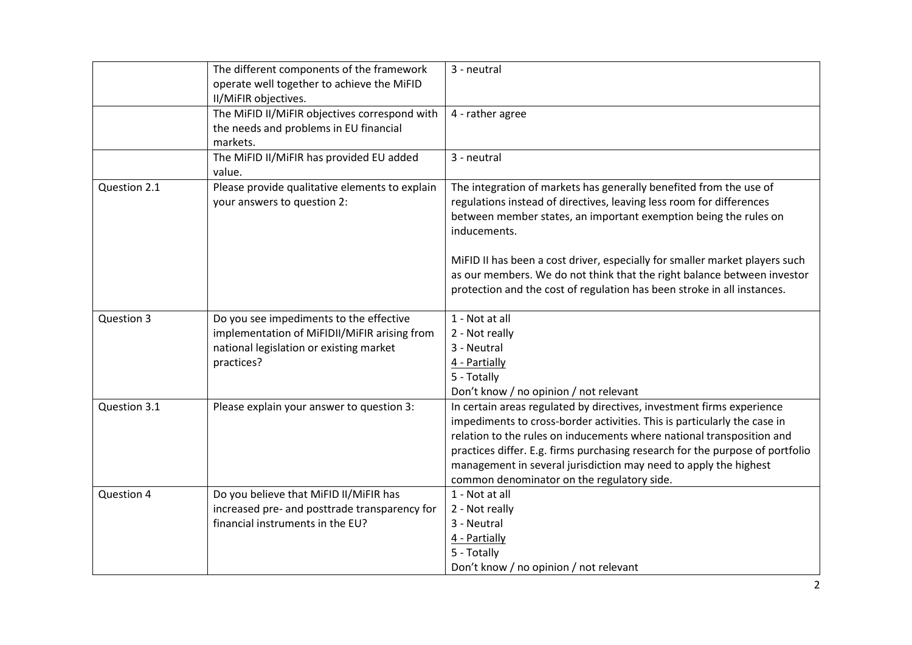|              | The different components of the framework<br>operate well together to achieve the MiFID<br>II/MiFIR objectives.                                  | 3 - neutral                                                                                                                                                                                                                                                                                                                                                                                                                                                         |
|--------------|--------------------------------------------------------------------------------------------------------------------------------------------------|---------------------------------------------------------------------------------------------------------------------------------------------------------------------------------------------------------------------------------------------------------------------------------------------------------------------------------------------------------------------------------------------------------------------------------------------------------------------|
|              | The MiFID II/MiFIR objectives correspond with<br>the needs and problems in EU financial<br>markets.                                              | 4 - rather agree                                                                                                                                                                                                                                                                                                                                                                                                                                                    |
|              | The MiFID II/MiFIR has provided EU added<br>value.                                                                                               | 3 - neutral                                                                                                                                                                                                                                                                                                                                                                                                                                                         |
| Question 2.1 | Please provide qualitative elements to explain<br>your answers to question 2:                                                                    | The integration of markets has generally benefited from the use of<br>regulations instead of directives, leaving less room for differences<br>between member states, an important exemption being the rules on<br>inducements.<br>MiFID II has been a cost driver, especially for smaller market players such<br>as our members. We do not think that the right balance between investor<br>protection and the cost of regulation has been stroke in all instances. |
| Question 3   | Do you see impediments to the effective<br>implementation of MiFIDII/MiFIR arising from<br>national legislation or existing market<br>practices? | 1 - Not at all<br>2 - Not really<br>3 - Neutral<br>4 - Partially<br>5 - Totally<br>Don't know / no opinion / not relevant                                                                                                                                                                                                                                                                                                                                           |
| Question 3.1 | Please explain your answer to question 3:                                                                                                        | In certain areas regulated by directives, investment firms experience<br>impediments to cross-border activities. This is particularly the case in<br>relation to the rules on inducements where national transposition and<br>practices differ. E.g. firms purchasing research for the purpose of portfolio<br>management in several jurisdiction may need to apply the highest<br>common denominator on the regulatory side.                                       |
| Question 4   | Do you believe that MiFID II/MiFIR has<br>increased pre- and posttrade transparency for<br>financial instruments in the EU?                      | 1 - Not at all<br>2 - Not really<br>3 - Neutral<br>4 - Partially<br>5 - Totally<br>Don't know / no opinion / not relevant                                                                                                                                                                                                                                                                                                                                           |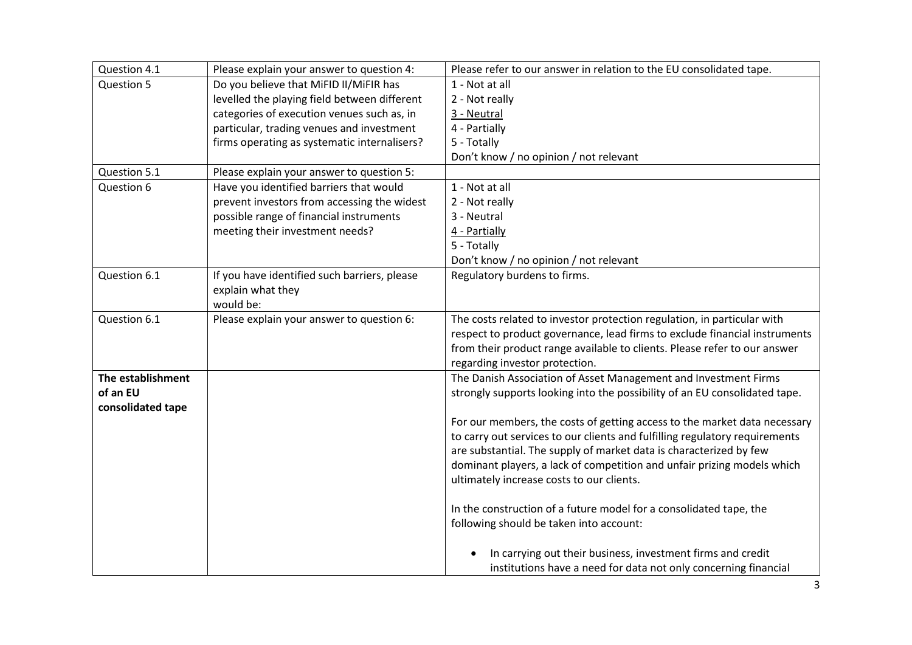| Question 4.1      | Please explain your answer to question 4:    | Please refer to our answer in relation to the EU consolidated tape.         |
|-------------------|----------------------------------------------|-----------------------------------------------------------------------------|
| Question 5        | Do you believe that MiFID II/MiFIR has       | 1 - Not at all                                                              |
|                   | levelled the playing field between different | 2 - Not really                                                              |
|                   | categories of execution venues such as, in   | 3 - Neutral                                                                 |
|                   | particular, trading venues and investment    | 4 - Partially                                                               |
|                   | firms operating as systematic internalisers? | 5 - Totally                                                                 |
|                   |                                              | Don't know / no opinion / not relevant                                      |
| Question 5.1      | Please explain your answer to question 5:    |                                                                             |
| Question 6        | Have you identified barriers that would      | 1 - Not at all                                                              |
|                   | prevent investors from accessing the widest  | 2 - Not really                                                              |
|                   | possible range of financial instruments      | 3 - Neutral                                                                 |
|                   | meeting their investment needs?              | 4 - Partially                                                               |
|                   |                                              | 5 - Totally                                                                 |
|                   |                                              | Don't know / no opinion / not relevant                                      |
| Question 6.1      | If you have identified such barriers, please | Regulatory burdens to firms.                                                |
|                   | explain what they                            |                                                                             |
|                   | would be:                                    |                                                                             |
| Question 6.1      | Please explain your answer to question 6:    | The costs related to investor protection regulation, in particular with     |
|                   |                                              | respect to product governance, lead firms to exclude financial instruments  |
|                   |                                              | from their product range available to clients. Please refer to our answer   |
|                   |                                              | regarding investor protection.                                              |
| The establishment |                                              | The Danish Association of Asset Management and Investment Firms             |
| of an EU          |                                              | strongly supports looking into the possibility of an EU consolidated tape.  |
| consolidated tape |                                              |                                                                             |
|                   |                                              | For our members, the costs of getting access to the market data necessary   |
|                   |                                              | to carry out services to our clients and fulfilling regulatory requirements |
|                   |                                              | are substantial. The supply of market data is characterized by few          |
|                   |                                              | dominant players, a lack of competition and unfair prizing models which     |
|                   |                                              | ultimately increase costs to our clients.                                   |
|                   |                                              |                                                                             |
|                   |                                              | In the construction of a future model for a consolidated tape, the          |
|                   |                                              | following should be taken into account:                                     |
|                   |                                              |                                                                             |
|                   |                                              | In carrying out their business, investment firms and credit                 |
|                   |                                              | institutions have a need for data not only concerning financial             |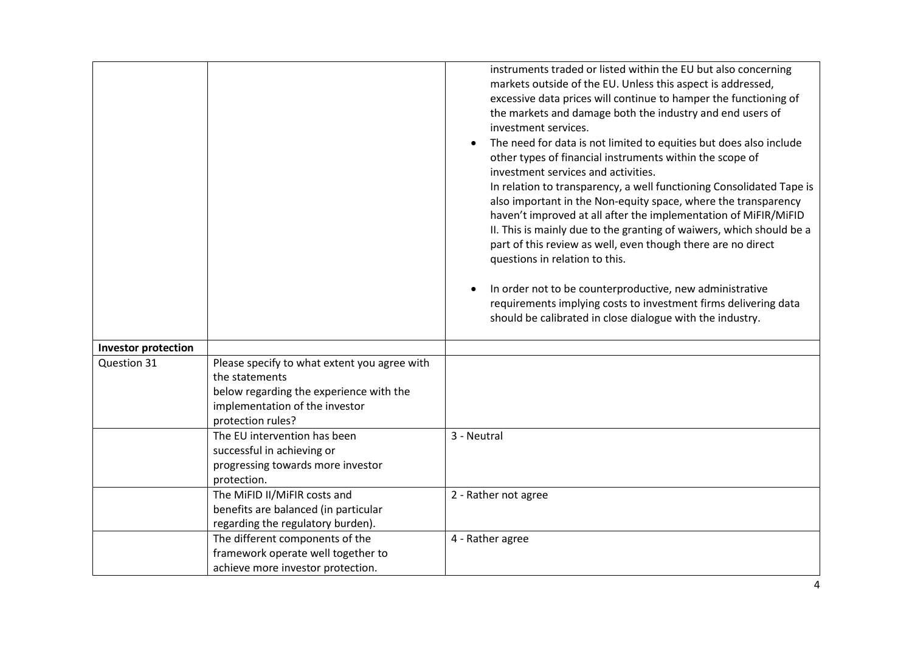|                            |                                                                                                                                                                  | instruments traded or listed within the EU but also concerning<br>markets outside of the EU. Unless this aspect is addressed,<br>excessive data prices will continue to hamper the functioning of<br>the markets and damage both the industry and end users of<br>investment services.<br>The need for data is not limited to equities but does also include<br>other types of financial instruments within the scope of<br>investment services and activities.<br>In relation to transparency, a well functioning Consolidated Tape is<br>also important in the Non-equity space, where the transparency<br>haven't improved at all after the implementation of MiFIR/MiFID<br>II. This is mainly due to the granting of waiwers, which should be a<br>part of this review as well, even though there are no direct<br>questions in relation to this.<br>In order not to be counterproductive, new administrative<br>requirements implying costs to investment firms delivering data<br>should be calibrated in close dialogue with the industry. |
|----------------------------|------------------------------------------------------------------------------------------------------------------------------------------------------------------|----------------------------------------------------------------------------------------------------------------------------------------------------------------------------------------------------------------------------------------------------------------------------------------------------------------------------------------------------------------------------------------------------------------------------------------------------------------------------------------------------------------------------------------------------------------------------------------------------------------------------------------------------------------------------------------------------------------------------------------------------------------------------------------------------------------------------------------------------------------------------------------------------------------------------------------------------------------------------------------------------------------------------------------------------|
| <b>Investor protection</b> |                                                                                                                                                                  |                                                                                                                                                                                                                                                                                                                                                                                                                                                                                                                                                                                                                                                                                                                                                                                                                                                                                                                                                                                                                                                    |
| Question 31                | Please specify to what extent you agree with<br>the statements<br>below regarding the experience with the<br>implementation of the investor<br>protection rules? |                                                                                                                                                                                                                                                                                                                                                                                                                                                                                                                                                                                                                                                                                                                                                                                                                                                                                                                                                                                                                                                    |
|                            | The EU intervention has been<br>successful in achieving or<br>progressing towards more investor<br>protection.                                                   | 3 - Neutral                                                                                                                                                                                                                                                                                                                                                                                                                                                                                                                                                                                                                                                                                                                                                                                                                                                                                                                                                                                                                                        |
|                            | The MiFID II/MiFIR costs and<br>benefits are balanced (in particular<br>regarding the regulatory burden).                                                        | 2 - Rather not agree                                                                                                                                                                                                                                                                                                                                                                                                                                                                                                                                                                                                                                                                                                                                                                                                                                                                                                                                                                                                                               |
|                            | The different components of the<br>framework operate well together to<br>achieve more investor protection.                                                       | 4 - Rather agree                                                                                                                                                                                                                                                                                                                                                                                                                                                                                                                                                                                                                                                                                                                                                                                                                                                                                                                                                                                                                                   |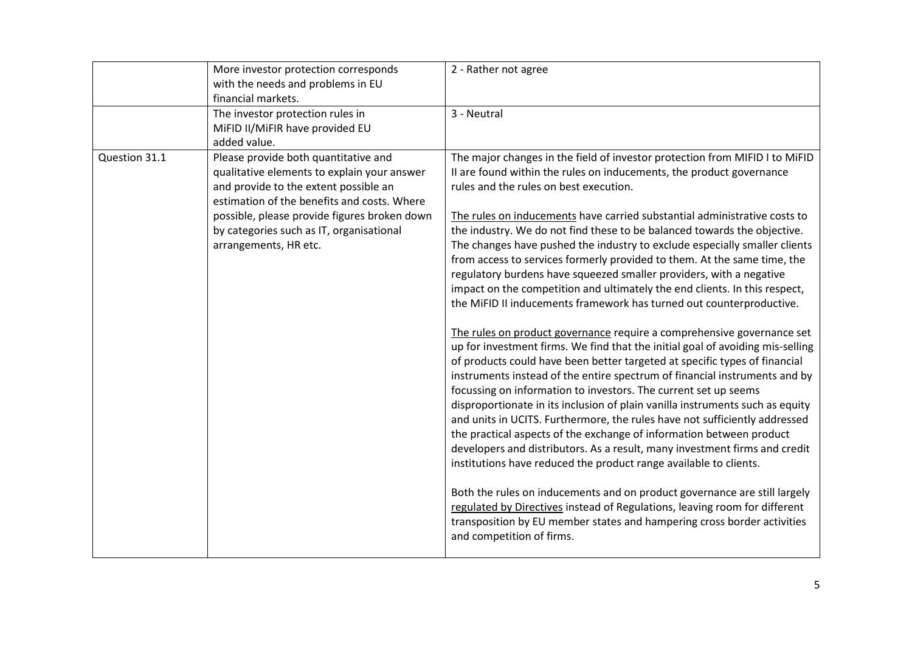|               | More investor protection corresponds<br>with the needs and problems in EU<br>financial markets.                                                                             | 2 - Rather not agree                                                                                                                                                                                                                                                                                                                                                                                                                                                                                                                                                                                                                                                                                                                                                              |
|---------------|-----------------------------------------------------------------------------------------------------------------------------------------------------------------------------|-----------------------------------------------------------------------------------------------------------------------------------------------------------------------------------------------------------------------------------------------------------------------------------------------------------------------------------------------------------------------------------------------------------------------------------------------------------------------------------------------------------------------------------------------------------------------------------------------------------------------------------------------------------------------------------------------------------------------------------------------------------------------------------|
|               | The investor protection rules in<br>MiFID II/MiFIR have provided EU<br>added value.                                                                                         | 3 - Neutral                                                                                                                                                                                                                                                                                                                                                                                                                                                                                                                                                                                                                                                                                                                                                                       |
| Question 31.1 | Please provide both quantitative and<br>qualitative elements to explain your answer<br>and provide to the extent possible an<br>estimation of the benefits and costs. Where | The major changes in the field of investor protection from MIFID I to MiFID<br>II are found within the rules on inducements, the product governance<br>rules and the rules on best execution.                                                                                                                                                                                                                                                                                                                                                                                                                                                                                                                                                                                     |
|               | possible, please provide figures broken down<br>by categories such as IT, organisational<br>arrangements, HR etc.                                                           | The rules on inducements have carried substantial administrative costs to<br>the industry. We do not find these to be balanced towards the objective.<br>The changes have pushed the industry to exclude especially smaller clients<br>from access to services formerly provided to them. At the same time, the<br>regulatory burdens have squeezed smaller providers, with a negative<br>impact on the competition and ultimately the end clients. In this respect,<br>the MiFID II inducements framework has turned out counterproductive.                                                                                                                                                                                                                                      |
|               |                                                                                                                                                                             | The rules on product governance require a comprehensive governance set<br>up for investment firms. We find that the initial goal of avoiding mis-selling<br>of products could have been better targeted at specific types of financial<br>instruments instead of the entire spectrum of financial instruments and by<br>focussing on information to investors. The current set up seems<br>disproportionate in its inclusion of plain vanilla instruments such as equity<br>and units in UCITS. Furthermore, the rules have not sufficiently addressed<br>the practical aspects of the exchange of information between product<br>developers and distributors. As a result, many investment firms and credit<br>institutions have reduced the product range available to clients. |
|               |                                                                                                                                                                             | Both the rules on inducements and on product governance are still largely<br>regulated by Directives instead of Regulations, leaving room for different<br>transposition by EU member states and hampering cross border activities<br>and competition of firms.                                                                                                                                                                                                                                                                                                                                                                                                                                                                                                                   |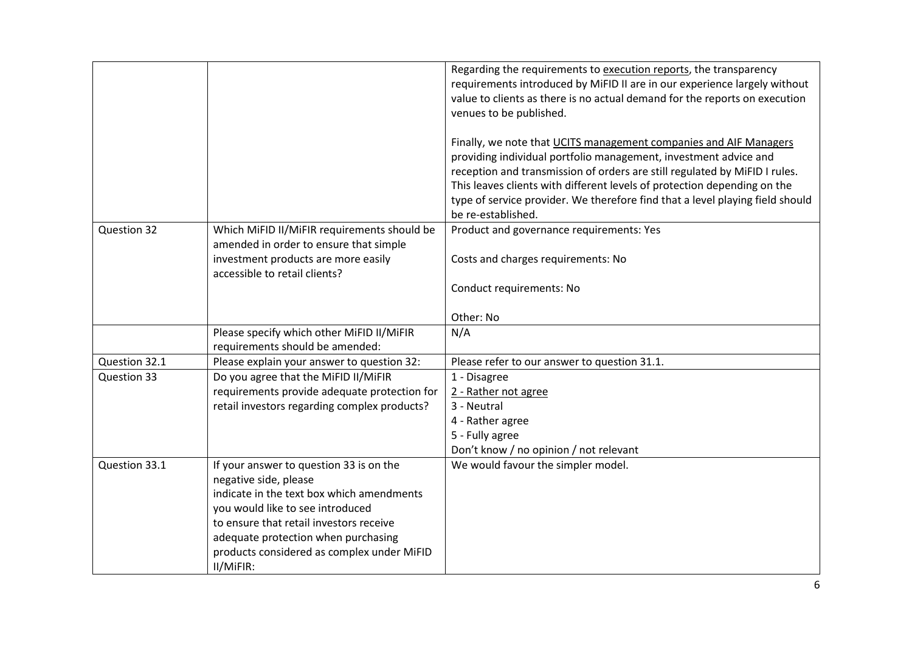|               |                                                                                                                | Regarding the requirements to execution reports, the transparency<br>requirements introduced by MiFID II are in our experience largely without<br>value to clients as there is no actual demand for the reports on execution<br>venues to be published.                                                                                                                                                |
|---------------|----------------------------------------------------------------------------------------------------------------|--------------------------------------------------------------------------------------------------------------------------------------------------------------------------------------------------------------------------------------------------------------------------------------------------------------------------------------------------------------------------------------------------------|
|               |                                                                                                                |                                                                                                                                                                                                                                                                                                                                                                                                        |
|               |                                                                                                                | Finally, we note that UCITS management companies and AIF Managers<br>providing individual portfolio management, investment advice and<br>reception and transmission of orders are still regulated by MiFID I rules.<br>This leaves clients with different levels of protection depending on the<br>type of service provider. We therefore find that a level playing field should<br>be re-established. |
| Question 32   | Which MiFID II/MiFIR requirements should be                                                                    | Product and governance requirements: Yes                                                                                                                                                                                                                                                                                                                                                               |
|               | amended in order to ensure that simple<br>investment products are more easily<br>accessible to retail clients? | Costs and charges requirements: No                                                                                                                                                                                                                                                                                                                                                                     |
|               |                                                                                                                | Conduct requirements: No                                                                                                                                                                                                                                                                                                                                                                               |
|               |                                                                                                                | Other: No                                                                                                                                                                                                                                                                                                                                                                                              |
|               | Please specify which other MiFID II/MiFIR<br>requirements should be amended:                                   | N/A                                                                                                                                                                                                                                                                                                                                                                                                    |
| Question 32.1 | Please explain your answer to question 32:                                                                     | Please refer to our answer to question 31.1.                                                                                                                                                                                                                                                                                                                                                           |
| Question 33   | Do you agree that the MiFID II/MiFIR                                                                           | 1 - Disagree                                                                                                                                                                                                                                                                                                                                                                                           |
|               | requirements provide adequate protection for                                                                   | 2 - Rather not agree                                                                                                                                                                                                                                                                                                                                                                                   |
|               | retail investors regarding complex products?                                                                   | 3 - Neutral                                                                                                                                                                                                                                                                                                                                                                                            |
|               |                                                                                                                | 4 - Rather agree                                                                                                                                                                                                                                                                                                                                                                                       |
|               |                                                                                                                | 5 - Fully agree                                                                                                                                                                                                                                                                                                                                                                                        |
|               |                                                                                                                | Don't know / no opinion / not relevant                                                                                                                                                                                                                                                                                                                                                                 |
| Question 33.1 | If your answer to question 33 is on the<br>negative side, please                                               | We would favour the simpler model.                                                                                                                                                                                                                                                                                                                                                                     |
|               | indicate in the text box which amendments                                                                      |                                                                                                                                                                                                                                                                                                                                                                                                        |
|               | you would like to see introduced                                                                               |                                                                                                                                                                                                                                                                                                                                                                                                        |
|               | to ensure that retail investors receive                                                                        |                                                                                                                                                                                                                                                                                                                                                                                                        |
|               | adequate protection when purchasing                                                                            |                                                                                                                                                                                                                                                                                                                                                                                                        |
|               | products considered as complex under MiFID                                                                     |                                                                                                                                                                                                                                                                                                                                                                                                        |
|               | II/MiFIR:                                                                                                      |                                                                                                                                                                                                                                                                                                                                                                                                        |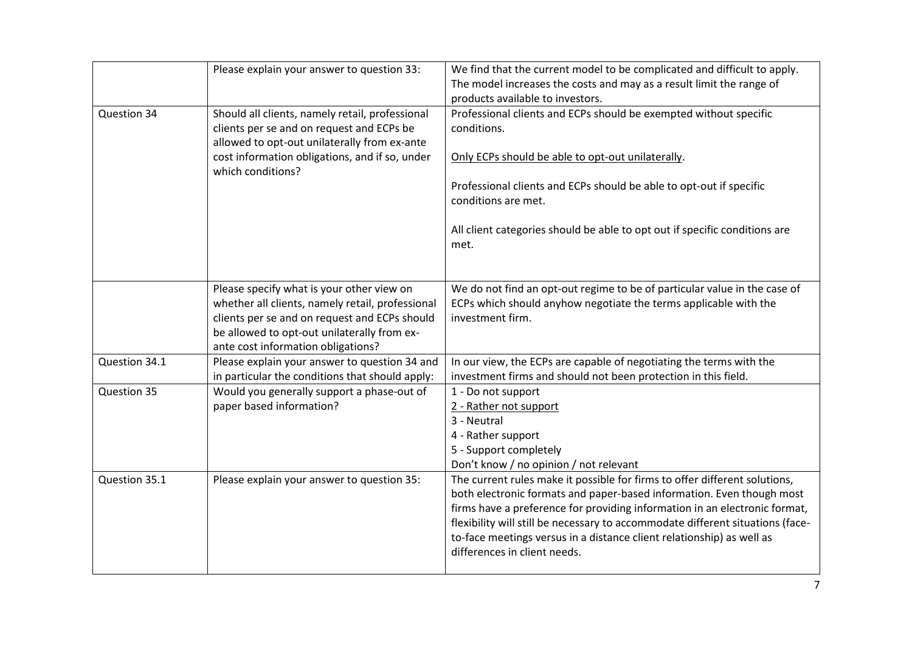|               | Please explain your answer to question 33:                                                                                                                                                                                          | We find that the current model to be complicated and difficult to apply.<br>The model increases the costs and may as a result limit the range of<br>products available to investors.                                                                                                                                                                                                                                         |
|---------------|-------------------------------------------------------------------------------------------------------------------------------------------------------------------------------------------------------------------------------------|------------------------------------------------------------------------------------------------------------------------------------------------------------------------------------------------------------------------------------------------------------------------------------------------------------------------------------------------------------------------------------------------------------------------------|
| Question 34   | Should all clients, namely retail, professional<br>clients per se and on request and ECPs be<br>allowed to opt-out unilaterally from ex-ante<br>cost information obligations, and if so, under<br>which conditions?                 | Professional clients and ECPs should be exempted without specific<br>conditions.<br>Only ECPs should be able to opt-out unilaterally.<br>Professional clients and ECPs should be able to opt-out if specific<br>conditions are met.<br>All client categories should be able to opt out if specific conditions are<br>met.                                                                                                    |
|               | Please specify what is your other view on<br>whether all clients, namely retail, professional<br>clients per se and on request and ECPs should<br>be allowed to opt-out unilaterally from ex-<br>ante cost information obligations? | We do not find an opt-out regime to be of particular value in the case of<br>ECPs which should anyhow negotiate the terms applicable with the<br>investment firm.                                                                                                                                                                                                                                                            |
| Question 34.1 | Please explain your answer to question 34 and<br>in particular the conditions that should apply:                                                                                                                                    | In our view, the ECPs are capable of negotiating the terms with the<br>investment firms and should not been protection in this field.                                                                                                                                                                                                                                                                                        |
| Question 35   | Would you generally support a phase-out of<br>paper based information?                                                                                                                                                              | 1 - Do not support<br>2 - Rather not support<br>3 - Neutral<br>4 - Rather support<br>5 - Support completely<br>Don't know / no opinion / not relevant                                                                                                                                                                                                                                                                        |
| Question 35.1 | Please explain your answer to question 35:                                                                                                                                                                                          | The current rules make it possible for firms to offer different solutions,<br>both electronic formats and paper-based information. Even though most<br>firms have a preference for providing information in an electronic format,<br>flexibility will still be necessary to accommodate different situations (face-<br>to-face meetings versus in a distance client relationship) as well as<br>differences in client needs. |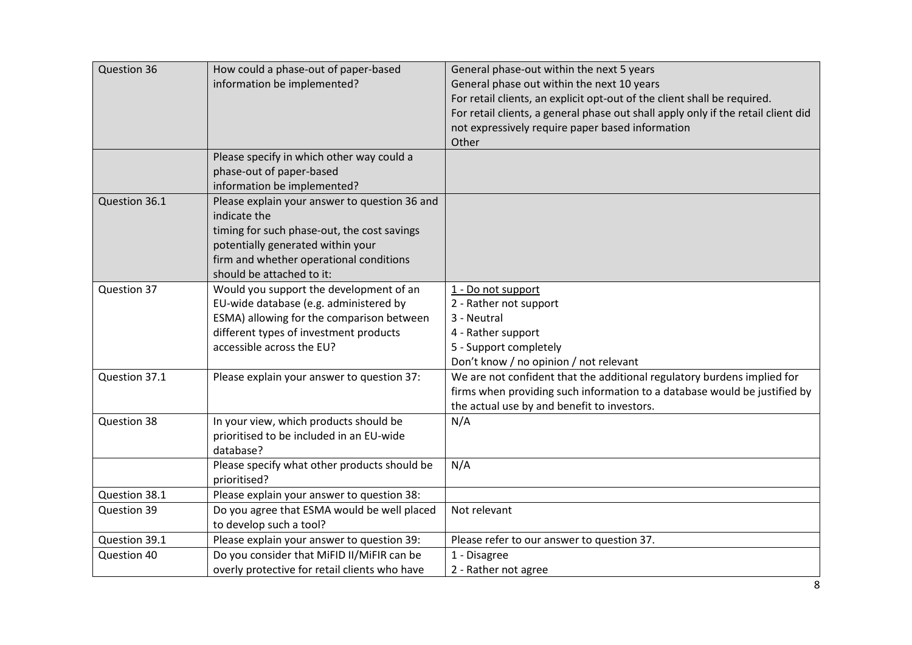| Question 36                  | How could a phase-out of paper-based<br>information be implemented?<br>Please specify in which other way could a                                                                                                          | General phase-out within the next 5 years<br>General phase out within the next 10 years<br>For retail clients, an explicit opt-out of the client shall be required.<br>For retail clients, a general phase out shall apply only if the retail client did<br>not expressively require paper based information<br>Other |
|------------------------------|---------------------------------------------------------------------------------------------------------------------------------------------------------------------------------------------------------------------------|-----------------------------------------------------------------------------------------------------------------------------------------------------------------------------------------------------------------------------------------------------------------------------------------------------------------------|
|                              | phase-out of paper-based<br>information be implemented?                                                                                                                                                                   |                                                                                                                                                                                                                                                                                                                       |
| Question 36.1                | Please explain your answer to question 36 and<br>indicate the<br>timing for such phase-out, the cost savings<br>potentially generated within your<br>firm and whether operational conditions<br>should be attached to it: |                                                                                                                                                                                                                                                                                                                       |
| Question 37                  | Would you support the development of an<br>EU-wide database (e.g. administered by<br>ESMA) allowing for the comparison between<br>different types of investment products<br>accessible across the EU?                     | 1 - Do not support<br>2 - Rather not support<br>3 - Neutral<br>4 - Rather support<br>5 - Support completely<br>Don't know / no opinion / not relevant                                                                                                                                                                 |
| Question 37.1                | Please explain your answer to question 37:                                                                                                                                                                                | We are not confident that the additional regulatory burdens implied for<br>firms when providing such information to a database would be justified by<br>the actual use by and benefit to investors.                                                                                                                   |
| Question 38                  | In your view, which products should be<br>prioritised to be included in an EU-wide<br>database?<br>Please specify what other products should be                                                                           | N/A<br>N/A                                                                                                                                                                                                                                                                                                            |
|                              | prioritised?                                                                                                                                                                                                              |                                                                                                                                                                                                                                                                                                                       |
| Question 38.1<br>Question 39 | Please explain your answer to question 38:<br>Do you agree that ESMA would be well placed                                                                                                                                 | Not relevant                                                                                                                                                                                                                                                                                                          |
|                              | to develop such a tool?                                                                                                                                                                                                   |                                                                                                                                                                                                                                                                                                                       |
| Question 39.1                | Please explain your answer to question 39:                                                                                                                                                                                | Please refer to our answer to question 37.                                                                                                                                                                                                                                                                            |
| Question 40                  | Do you consider that MiFID II/MiFIR can be                                                                                                                                                                                | 1 - Disagree                                                                                                                                                                                                                                                                                                          |
|                              | overly protective for retail clients who have                                                                                                                                                                             | 2 - Rather not agree                                                                                                                                                                                                                                                                                                  |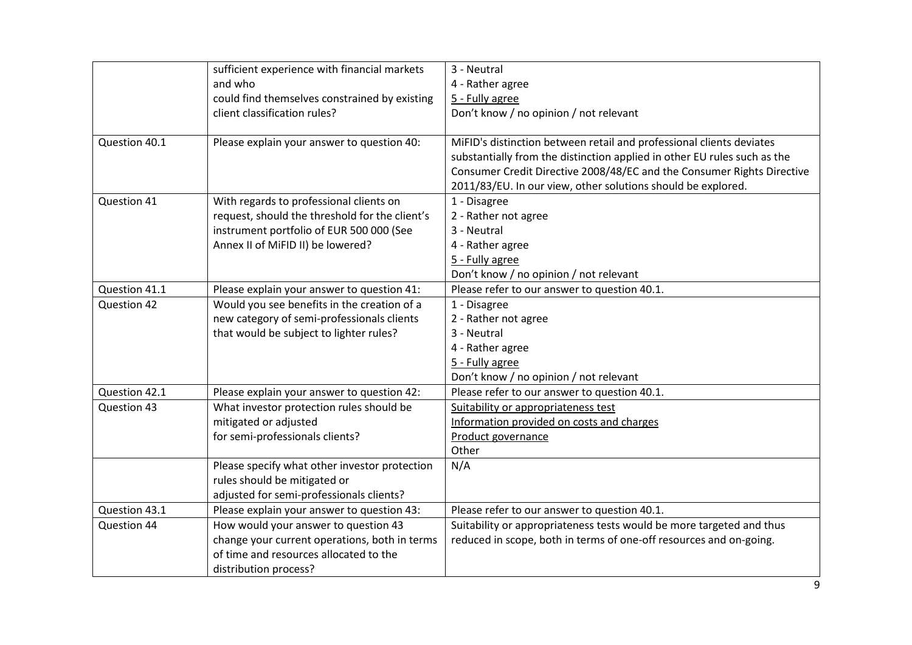|               | sufficient experience with financial markets   | 3 - Neutral                                                              |
|---------------|------------------------------------------------|--------------------------------------------------------------------------|
|               | and who                                        | 4 - Rather agree                                                         |
|               | could find themselves constrained by existing  | 5 - Fully agree                                                          |
|               | client classification rules?                   | Don't know / no opinion / not relevant                                   |
|               |                                                |                                                                          |
| Question 40.1 | Please explain your answer to question 40:     | MiFID's distinction between retail and professional clients deviates     |
|               |                                                | substantially from the distinction applied in other EU rules such as the |
|               |                                                | Consumer Credit Directive 2008/48/EC and the Consumer Rights Directive   |
|               |                                                | 2011/83/EU. In our view, other solutions should be explored.             |
| Question 41   | With regards to professional clients on        | 1 - Disagree                                                             |
|               | request, should the threshold for the client's | 2 - Rather not agree                                                     |
|               | instrument portfolio of EUR 500 000 (See       | 3 - Neutral                                                              |
|               | Annex II of MiFID II) be lowered?              | 4 - Rather agree                                                         |
|               |                                                | 5 - Fully agree                                                          |
|               |                                                | Don't know / no opinion / not relevant                                   |
| Question 41.1 | Please explain your answer to question 41:     | Please refer to our answer to question 40.1.                             |
| Question 42   | Would you see benefits in the creation of a    | 1 - Disagree                                                             |
|               | new category of semi-professionals clients     | 2 - Rather not agree                                                     |
|               | that would be subject to lighter rules?        | 3 - Neutral                                                              |
|               |                                                | 4 - Rather agree                                                         |
|               |                                                | 5 - Fully agree                                                          |
|               |                                                | Don't know / no opinion / not relevant                                   |
| Question 42.1 | Please explain your answer to question 42:     | Please refer to our answer to question 40.1.                             |
| Question 43   | What investor protection rules should be       | Suitability or appropriateness test                                      |
|               | mitigated or adjusted                          | Information provided on costs and charges                                |
|               | for semi-professionals clients?                | Product governance                                                       |
|               |                                                | Other                                                                    |
|               | Please specify what other investor protection  | N/A                                                                      |
|               | rules should be mitigated or                   |                                                                          |
|               | adjusted for semi-professionals clients?       |                                                                          |
| Question 43.1 | Please explain your answer to question 43:     | Please refer to our answer to question 40.1.                             |
| Question 44   | How would your answer to question 43           | Suitability or appropriateness tests would be more targeted and thus     |
|               | change your current operations, both in terms  | reduced in scope, both in terms of one-off resources and on-going.       |
|               | of time and resources allocated to the         |                                                                          |
|               | distribution process?                          |                                                                          |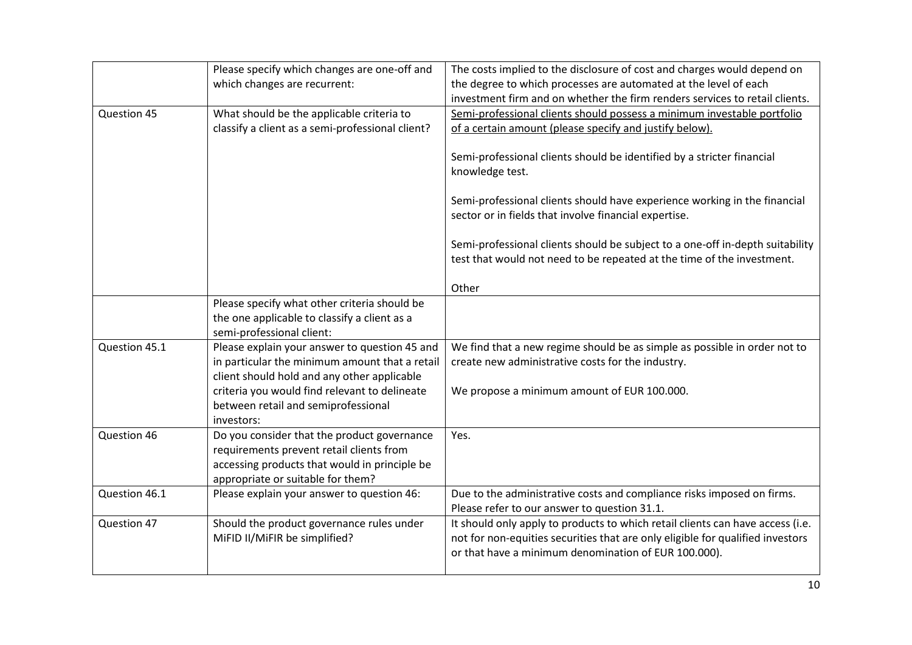|               | Please specify which changes are one-off and<br>which changes are recurrent:                       | The costs implied to the disclosure of cost and charges would depend on<br>the degree to which processes are automated at the level of each<br>investment firm and on whether the firm renders services to retail clients. |
|---------------|----------------------------------------------------------------------------------------------------|----------------------------------------------------------------------------------------------------------------------------------------------------------------------------------------------------------------------------|
| Question 45   | What should be the applicable criteria to<br>classify a client as a semi-professional client?      | Semi-professional clients should possess a minimum investable portfolio<br>of a certain amount (please specify and justify below).                                                                                         |
|               |                                                                                                    | Semi-professional clients should be identified by a stricter financial<br>knowledge test.                                                                                                                                  |
|               |                                                                                                    | Semi-professional clients should have experience working in the financial<br>sector or in fields that involve financial expertise.                                                                                         |
|               |                                                                                                    | Semi-professional clients should be subject to a one-off in-depth suitability<br>test that would not need to be repeated at the time of the investment.                                                                    |
|               |                                                                                                    | Other                                                                                                                                                                                                                      |
|               | Please specify what other criteria should be                                                       |                                                                                                                                                                                                                            |
|               | the one applicable to classify a client as a<br>semi-professional client:                          |                                                                                                                                                                                                                            |
| Question 45.1 | Please explain your answer to question 45 and                                                      | We find that a new regime should be as simple as possible in order not to                                                                                                                                                  |
|               | in particular the minimum amount that a retail                                                     | create new administrative costs for the industry.                                                                                                                                                                          |
|               | client should hold and any other applicable                                                        |                                                                                                                                                                                                                            |
|               | criteria you would find relevant to delineate<br>between retail and semiprofessional<br>investors: | We propose a minimum amount of EUR 100.000.                                                                                                                                                                                |
| Question 46   | Do you consider that the product governance                                                        | Yes.                                                                                                                                                                                                                       |
|               | requirements prevent retail clients from                                                           |                                                                                                                                                                                                                            |
|               | accessing products that would in principle be                                                      |                                                                                                                                                                                                                            |
|               | appropriate or suitable for them?                                                                  |                                                                                                                                                                                                                            |
| Question 46.1 | Please explain your answer to question 46:                                                         | Due to the administrative costs and compliance risks imposed on firms.<br>Please refer to our answer to question 31.1.                                                                                                     |
| Question 47   | Should the product governance rules under<br>MiFID II/MiFIR be simplified?                         | It should only apply to products to which retail clients can have access (i.e.<br>not for non-equities securities that are only eligible for qualified investors<br>or that have a minimum denomination of EUR 100.000).   |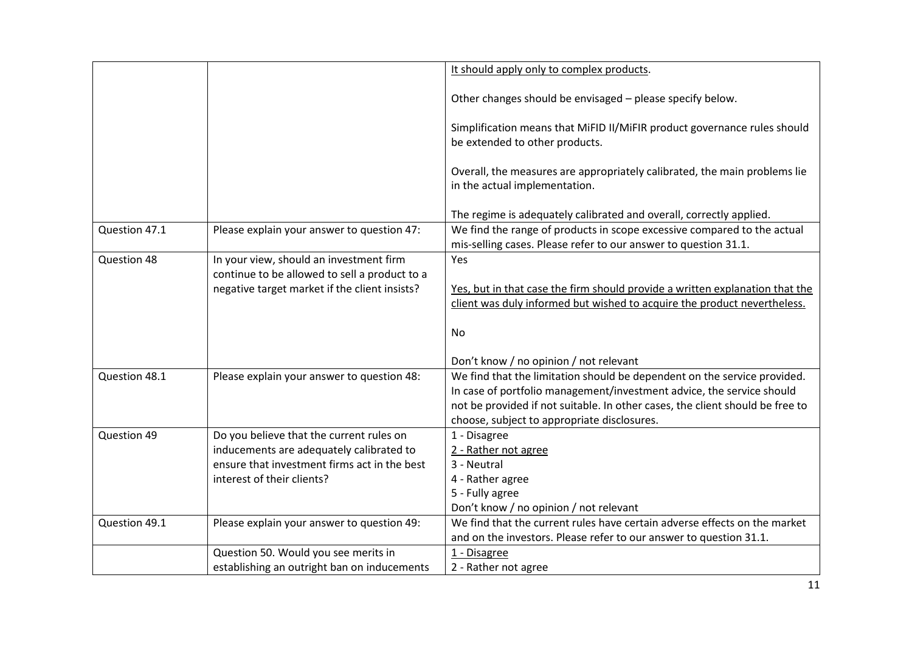|               |                                                                                                                                      | It should apply only to complex products.                                                                                                                                                                                                                                         |
|---------------|--------------------------------------------------------------------------------------------------------------------------------------|-----------------------------------------------------------------------------------------------------------------------------------------------------------------------------------------------------------------------------------------------------------------------------------|
|               |                                                                                                                                      | Other changes should be envisaged - please specify below.                                                                                                                                                                                                                         |
|               |                                                                                                                                      | Simplification means that MiFID II/MiFIR product governance rules should<br>be extended to other products.                                                                                                                                                                        |
|               |                                                                                                                                      | Overall, the measures are appropriately calibrated, the main problems lie<br>in the actual implementation.                                                                                                                                                                        |
|               |                                                                                                                                      | The regime is adequately calibrated and overall, correctly applied.                                                                                                                                                                                                               |
| Question 47.1 | Please explain your answer to question 47:                                                                                           | We find the range of products in scope excessive compared to the actual<br>mis-selling cases. Please refer to our answer to question 31.1.                                                                                                                                        |
| Question 48   | In your view, should an investment firm<br>continue to be allowed to sell a product to a                                             | Yes                                                                                                                                                                                                                                                                               |
|               | negative target market if the client insists?                                                                                        | Yes, but in that case the firm should provide a written explanation that the<br>client was duly informed but wished to acquire the product nevertheless.                                                                                                                          |
|               |                                                                                                                                      | No.                                                                                                                                                                                                                                                                               |
|               |                                                                                                                                      | Don't know / no opinion / not relevant                                                                                                                                                                                                                                            |
| Question 48.1 | Please explain your answer to question 48:                                                                                           | We find that the limitation should be dependent on the service provided.<br>In case of portfolio management/investment advice, the service should<br>not be provided if not suitable. In other cases, the client should be free to<br>choose, subject to appropriate disclosures. |
| Question 49   | Do you believe that the current rules on<br>inducements are adequately calibrated to<br>ensure that investment firms act in the best | 1 - Disagree<br>2 - Rather not agree<br>3 - Neutral                                                                                                                                                                                                                               |
|               | interest of their clients?                                                                                                           | 4 - Rather agree<br>5 - Fully agree<br>Don't know / no opinion / not relevant                                                                                                                                                                                                     |
| Question 49.1 | Please explain your answer to question 49:                                                                                           | We find that the current rules have certain adverse effects on the market<br>and on the investors. Please refer to our answer to question 31.1.                                                                                                                                   |
|               | Question 50. Would you see merits in<br>establishing an outright ban on inducements                                                  | 1 - Disagree<br>2 - Rather not agree                                                                                                                                                                                                                                              |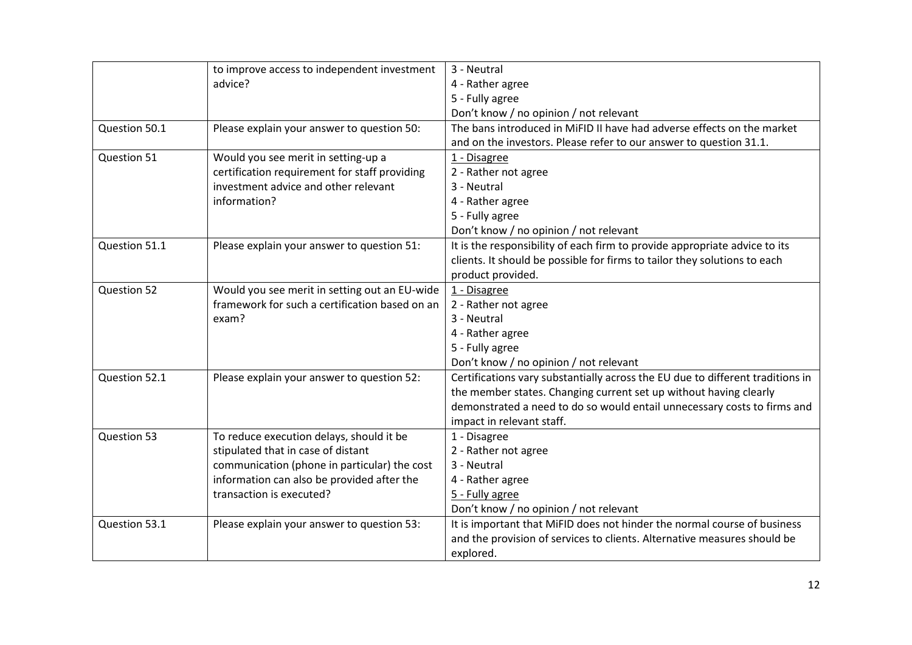|               | to improve access to independent investment    | 3 - Neutral                                                                    |
|---------------|------------------------------------------------|--------------------------------------------------------------------------------|
|               | advice?                                        | 4 - Rather agree                                                               |
|               |                                                | 5 - Fully agree                                                                |
|               |                                                | Don't know / no opinion / not relevant                                         |
| Question 50.1 | Please explain your answer to question 50:     | The bans introduced in MiFID II have had adverse effects on the market         |
|               |                                                | and on the investors. Please refer to our answer to question 31.1.             |
| Question 51   | Would you see merit in setting-up a            | 1 - Disagree                                                                   |
|               | certification requirement for staff providing  | 2 - Rather not agree                                                           |
|               | investment advice and other relevant           | 3 - Neutral                                                                    |
|               | information?                                   | 4 - Rather agree                                                               |
|               |                                                | 5 - Fully agree                                                                |
|               |                                                | Don't know / no opinion / not relevant                                         |
| Question 51.1 | Please explain your answer to question 51:     | It is the responsibility of each firm to provide appropriate advice to its     |
|               |                                                | clients. It should be possible for firms to tailor they solutions to each      |
|               |                                                | product provided.                                                              |
| Question 52   | Would you see merit in setting out an EU-wide  | 1 - Disagree                                                                   |
|               | framework for such a certification based on an | 2 - Rather not agree                                                           |
|               | exam?                                          | 3 - Neutral                                                                    |
|               |                                                | 4 - Rather agree                                                               |
|               |                                                | 5 - Fully agree                                                                |
|               |                                                | Don't know / no opinion / not relevant                                         |
| Question 52.1 | Please explain your answer to question 52:     | Certifications vary substantially across the EU due to different traditions in |
|               |                                                | the member states. Changing current set up without having clearly              |
|               |                                                | demonstrated a need to do so would entail unnecessary costs to firms and       |
|               |                                                | impact in relevant staff.                                                      |
| Question 53   | To reduce execution delays, should it be       | 1 - Disagree                                                                   |
|               | stipulated that in case of distant             | 2 - Rather not agree                                                           |
|               | communication (phone in particular) the cost   | 3 - Neutral                                                                    |
|               | information can also be provided after the     | 4 - Rather agree                                                               |
|               | transaction is executed?                       | 5 - Fully agree                                                                |
|               |                                                | Don't know / no opinion / not relevant                                         |
| Question 53.1 | Please explain your answer to question 53:     | It is important that MiFID does not hinder the normal course of business       |
|               |                                                | and the provision of services to clients. Alternative measures should be       |
|               |                                                | explored.                                                                      |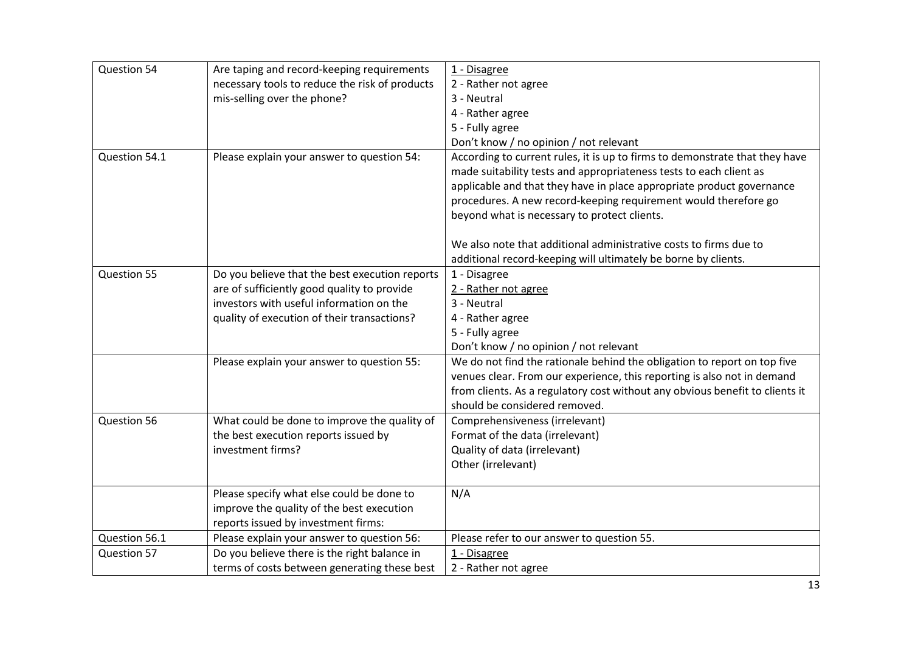| Question 54   | Are taping and record-keeping requirements                                                                                    | 1 - Disagree                                                                                                                                                                                                                                                                                                                                  |
|---------------|-------------------------------------------------------------------------------------------------------------------------------|-----------------------------------------------------------------------------------------------------------------------------------------------------------------------------------------------------------------------------------------------------------------------------------------------------------------------------------------------|
|               | necessary tools to reduce the risk of products                                                                                | 2 - Rather not agree                                                                                                                                                                                                                                                                                                                          |
|               | mis-selling over the phone?                                                                                                   | 3 - Neutral                                                                                                                                                                                                                                                                                                                                   |
|               |                                                                                                                               | 4 - Rather agree                                                                                                                                                                                                                                                                                                                              |
|               |                                                                                                                               | 5 - Fully agree                                                                                                                                                                                                                                                                                                                               |
|               |                                                                                                                               | Don't know / no opinion / not relevant                                                                                                                                                                                                                                                                                                        |
| Question 54.1 | Please explain your answer to question 54:                                                                                    | According to current rules, it is up to firms to demonstrate that they have<br>made suitability tests and appropriateness tests to each client as<br>applicable and that they have in place appropriate product governance<br>procedures. A new record-keeping requirement would therefore go<br>beyond what is necessary to protect clients. |
|               |                                                                                                                               |                                                                                                                                                                                                                                                                                                                                               |
|               |                                                                                                                               | We also note that additional administrative costs to firms due to<br>additional record-keeping will ultimately be borne by clients.                                                                                                                                                                                                           |
| Question 55   | Do you believe that the best execution reports                                                                                | 1 - Disagree                                                                                                                                                                                                                                                                                                                                  |
|               | are of sufficiently good quality to provide                                                                                   | 2 - Rather not agree                                                                                                                                                                                                                                                                                                                          |
|               | investors with useful information on the                                                                                      | 3 - Neutral                                                                                                                                                                                                                                                                                                                                   |
|               | quality of execution of their transactions?                                                                                   | 4 - Rather agree                                                                                                                                                                                                                                                                                                                              |
|               |                                                                                                                               | 5 - Fully agree                                                                                                                                                                                                                                                                                                                               |
|               |                                                                                                                               | Don't know / no opinion / not relevant                                                                                                                                                                                                                                                                                                        |
|               | Please explain your answer to question 55:                                                                                    | We do not find the rationale behind the obligation to report on top five<br>venues clear. From our experience, this reporting is also not in demand<br>from clients. As a regulatory cost without any obvious benefit to clients it<br>should be considered removed.                                                                          |
| Question 56   | What could be done to improve the quality of                                                                                  | Comprehensiveness (irrelevant)                                                                                                                                                                                                                                                                                                                |
|               | the best execution reports issued by                                                                                          | Format of the data (irrelevant)                                                                                                                                                                                                                                                                                                               |
|               | investment firms?                                                                                                             | Quality of data (irrelevant)                                                                                                                                                                                                                                                                                                                  |
|               |                                                                                                                               | Other (irrelevant)                                                                                                                                                                                                                                                                                                                            |
|               | Please specify what else could be done to<br>improve the quality of the best execution<br>reports issued by investment firms: | N/A                                                                                                                                                                                                                                                                                                                                           |
| Question 56.1 | Please explain your answer to question 56:                                                                                    | Please refer to our answer to question 55.                                                                                                                                                                                                                                                                                                    |
| Question 57   | Do you believe there is the right balance in                                                                                  | 1 - Disagree                                                                                                                                                                                                                                                                                                                                  |
|               | terms of costs between generating these best                                                                                  | 2 - Rather not agree                                                                                                                                                                                                                                                                                                                          |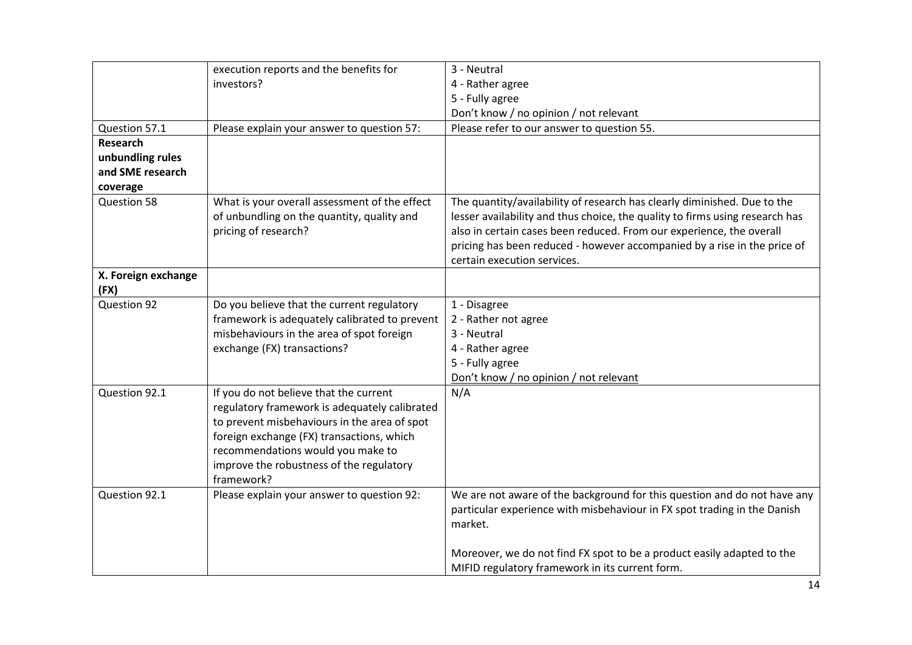|                             | execution reports and the benefits for                                                                                                                                                                                                                                              | 3 - Neutral                                                                                                                                                                                                                                                                                                                                 |
|-----------------------------|-------------------------------------------------------------------------------------------------------------------------------------------------------------------------------------------------------------------------------------------------------------------------------------|---------------------------------------------------------------------------------------------------------------------------------------------------------------------------------------------------------------------------------------------------------------------------------------------------------------------------------------------|
|                             | investors?                                                                                                                                                                                                                                                                          | 4 - Rather agree                                                                                                                                                                                                                                                                                                                            |
|                             |                                                                                                                                                                                                                                                                                     | 5 - Fully agree                                                                                                                                                                                                                                                                                                                             |
|                             |                                                                                                                                                                                                                                                                                     | Don't know / no opinion / not relevant                                                                                                                                                                                                                                                                                                      |
| Question 57.1               | Please explain your answer to question 57:                                                                                                                                                                                                                                          | Please refer to our answer to question 55.                                                                                                                                                                                                                                                                                                  |
| <b>Research</b>             |                                                                                                                                                                                                                                                                                     |                                                                                                                                                                                                                                                                                                                                             |
| unbundling rules            |                                                                                                                                                                                                                                                                                     |                                                                                                                                                                                                                                                                                                                                             |
| and SME research            |                                                                                                                                                                                                                                                                                     |                                                                                                                                                                                                                                                                                                                                             |
| coverage                    |                                                                                                                                                                                                                                                                                     |                                                                                                                                                                                                                                                                                                                                             |
| Question 58                 | What is your overall assessment of the effect<br>of unbundling on the quantity, quality and<br>pricing of research?                                                                                                                                                                 | The quantity/availability of research has clearly diminished. Due to the<br>lesser availability and thus choice, the quality to firms using research has<br>also in certain cases been reduced. From our experience, the overall<br>pricing has been reduced - however accompanied by a rise in the price of<br>certain execution services. |
| X. Foreign exchange<br>(FX) |                                                                                                                                                                                                                                                                                     |                                                                                                                                                                                                                                                                                                                                             |
| Question 92                 | Do you believe that the current regulatory                                                                                                                                                                                                                                          | 1 - Disagree                                                                                                                                                                                                                                                                                                                                |
|                             | framework is adequately calibrated to prevent                                                                                                                                                                                                                                       | 2 - Rather not agree                                                                                                                                                                                                                                                                                                                        |
|                             | misbehaviours in the area of spot foreign                                                                                                                                                                                                                                           | 3 - Neutral                                                                                                                                                                                                                                                                                                                                 |
|                             | exchange (FX) transactions?                                                                                                                                                                                                                                                         | 4 - Rather agree                                                                                                                                                                                                                                                                                                                            |
|                             |                                                                                                                                                                                                                                                                                     | 5 - Fully agree                                                                                                                                                                                                                                                                                                                             |
|                             |                                                                                                                                                                                                                                                                                     | Don't know / no opinion / not relevant                                                                                                                                                                                                                                                                                                      |
| Question 92.1               | If you do not believe that the current<br>regulatory framework is adequately calibrated<br>to prevent misbehaviours in the area of spot<br>foreign exchange (FX) transactions, which<br>recommendations would you make to<br>improve the robustness of the regulatory<br>framework? | N/A                                                                                                                                                                                                                                                                                                                                         |
| Question 92.1               | Please explain your answer to question 92:                                                                                                                                                                                                                                          | We are not aware of the background for this question and do not have any<br>particular experience with misbehaviour in FX spot trading in the Danish<br>market.                                                                                                                                                                             |
|                             |                                                                                                                                                                                                                                                                                     | Moreover, we do not find FX spot to be a product easily adapted to the<br>MIFID regulatory framework in its current form.                                                                                                                                                                                                                   |